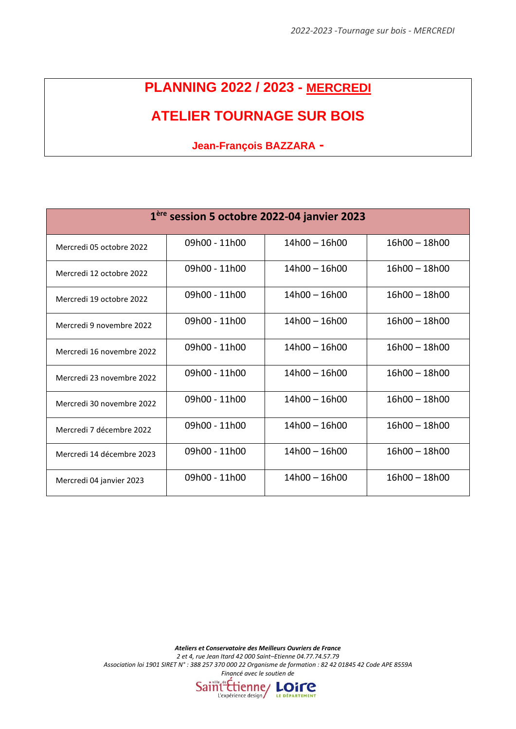## **PLANNING 2022 / 2023 - MERCREDI**

## **ATELIER TOURNAGE SUR BOIS**

**Jean-François BAZZARA -**

| 1 <sup>ère</sup> session 5 octobre 2022-04 janvier 2023 |               |                 |                 |  |  |
|---------------------------------------------------------|---------------|-----------------|-----------------|--|--|
| Mercredi 05 octobre 2022                                | 09h00 - 11h00 | $14h00 - 16h00$ | $16h00 - 18h00$ |  |  |
| Mercredi 12 octobre 2022                                | 09h00 - 11h00 | $14h00 - 16h00$ | $16h00 - 18h00$ |  |  |
| Mercredi 19 octobre 2022                                | 09h00 - 11h00 | $14h00 - 16h00$ | $16h00 - 18h00$ |  |  |
| Mercredi 9 novembre 2022                                | 09h00 - 11h00 | 14h00 – 16h00   | $16h00 - 18h00$ |  |  |
| Mercredi 16 novembre 2022                               | 09h00 - 11h00 | 14h00 - 16h00   | $16h00 - 18h00$ |  |  |
| Mercredi 23 novembre 2022                               | 09h00 - 11h00 | $14h00 - 16h00$ | $16h00 - 18h00$ |  |  |
| Mercredi 30 novembre 2022                               | 09h00 - 11h00 | $14h00 - 16h00$ | $16h00 - 18h00$ |  |  |
| Mercredi 7 décembre 2022                                | 09h00 - 11h00 | $14h00 - 16h00$ | $16h00 - 18h00$ |  |  |
| Mercredi 14 décembre 2023                               | 09h00 - 11h00 | $14h00 - 16h00$ | $16h00 - 18h00$ |  |  |
| Mercredi 04 janvier 2023                                | 09h00 - 11h00 | $14h00 - 16h00$ | $16h00 - 18h00$ |  |  |

*Ateliers et Conservatoire des Meilleurs Ouvriers de France*

*2 et 4, rue Jean Itard 42 000 Saint–Etienne 04.77.74.57.79*

*Association loi 1901 SIRET N° : 388 257 370 000 22 Organisme de formation : 82 42 01845 42 Code APE 8559A Financé avec le soutien de*

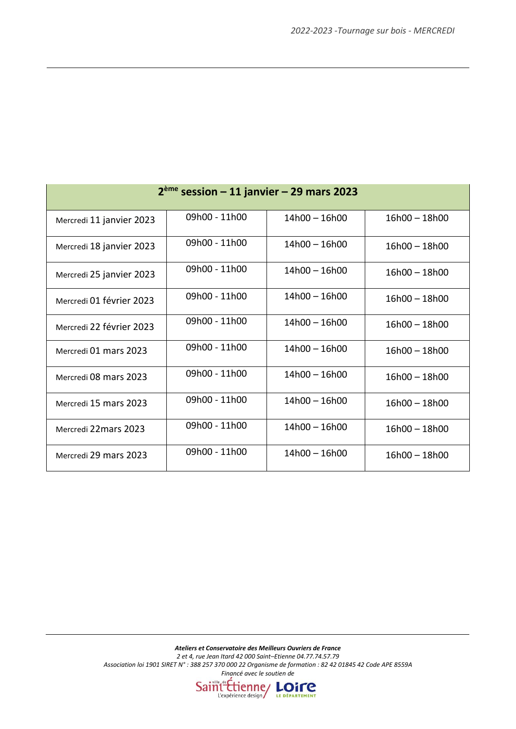| $2ème session – 11 janvier – 29 mars 2023$ |               |                 |                 |  |  |
|--------------------------------------------|---------------|-----------------|-----------------|--|--|
| Mercredi 11 janvier 2023                   | 09h00 - 11h00 | $14h00 - 16h00$ | $16h00 - 18h00$ |  |  |
| Mercredi 18 janvier 2023                   | 09h00 - 11h00 | $14h00 - 16h00$ | $16h00 - 18h00$ |  |  |
| Mercredi 25 janvier 2023                   | 09h00 - 11h00 | $14h00 - 16h00$ | $16h00 - 18h00$ |  |  |
| Mercredi 01 février 2023                   | 09h00 - 11h00 | $14h00 - 16h00$ | $16h00 - 18h00$ |  |  |
| Mercredi 22 février 2023                   | 09h00 - 11h00 | $14h00 - 16h00$ | $16h00 - 18h00$ |  |  |
| Mercredi 01 mars 2023                      | 09h00 - 11h00 | $14h00 - 16h00$ | $16h00 - 18h00$ |  |  |
| Mercredi 08 mars 2023                      | 09h00 - 11h00 | $14h00 - 16h00$ | $16h00 - 18h00$ |  |  |
| Mercredi 15 mars 2023                      | 09h00 - 11h00 | $14h00 - 16h00$ | $16h00 - 18h00$ |  |  |
| Mercredi 22 mars 2023                      | 09h00 - 11h00 | $14h00 - 16h00$ | $16h00 - 18h00$ |  |  |
| Mercredi 29 mars 2023                      | 09h00 - 11h00 | 14h00 - 16h00   | 16h00 - 18h00   |  |  |

*Ateliers et Conservatoire des Meilleurs Ouvriers de France 2 et 4, rue Jean Itard 42 000 Saint–Etienne 04.77.74.57.79 Association loi 1901 SIRET N° : 388 257 370 000 22 Organisme de formation : 82 42 01845 42 Code APE 8559A Financé avec le soutien de*